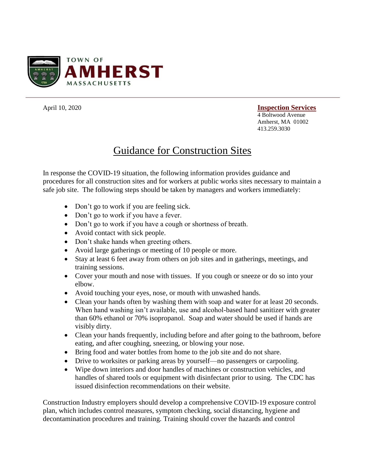

## April 10, 2020 **Inspection Services** 4 Boltwood Avenue Amherst, MA 01002 413.259.3030

## Guidance for Construction Sites

In response the COVID-19 situation, the following information provides guidance and procedures for all construction sites and for workers at public works sites necessary to maintain a safe job site. The following steps should be taken by managers and workers immediately:

- Don't go to work if you are feeling sick.
- Don't go to work if you have a fever.
- Don't go to work if you have a cough or shortness of breath.
- Avoid contact with sick people.
- Don't shake hands when greeting others.
- Avoid large gatherings or meeting of 10 people or more.
- Stay at least 6 feet away from others on job sites and in gatherings, meetings, and training sessions.
- Cover your mouth and nose with tissues. If you cough or sneeze or do so into your elbow.
- Avoid touching your eyes, nose, or mouth with unwashed hands.
- Clean your hands often by washing them with soap and water for at least 20 seconds. When hand washing isn't available, use and alcohol-based hand sanitizer with greater than 60% ethanol or 70% isopropanol. Soap and water should be used if hands are visibly dirty.
- Clean your hands frequently, including before and after going to the bathroom, before eating, and after coughing, sneezing, or blowing your nose.
- Bring food and water bottles from home to the job site and do not share.
- Drive to worksites or parking areas by yourself—no passengers or carpooling.
- Wipe down interiors and door handles of machines or construction vehicles, and handles of shared tools or equipment with disinfectant prior to using. The CDC has issued disinfection recommendations on their website.

Construction Industry employers should develop a comprehensive COVID-19 exposure control plan, which includes control measures, symptom checking, social distancing, hygiene and decontamination procedures and training. Training should cover the hazards and control